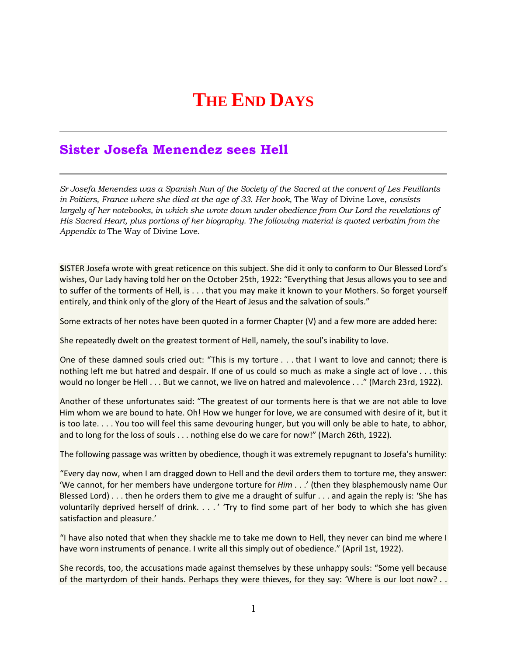## **THE END DAYS**

## **Sister Josefa Menendez sees Hell**

*Sr Josefa Menendez was a Spanish Nun of the Society of the Sacred at the convent of Les Feuillants in Poitiers, France where she died at the age of 33. Her book,* The Way of Divine Love, *consists largely of her notebooks, in which she wrote down under obedience from Our Lord the revelations of His Sacred Heart, plus portions of her biography. The following material is quoted verbatim from the Appendix to* The Way of Divine Love.

**S**ISTER Josefa wrote with great reticence on this subject. She did it only to conform to Our Blessed Lord's wishes, Our Lady having told her on the October 25th, 1922: "Everything that Jesus allows you to see and to suffer of the torments of Hell, is . . . that you may make it known to your Mothers. So forget yourself entirely, and think only of the glory of the Heart of Jesus and the salvation of souls."

Some extracts of her notes have been quoted in a former Chapter (V) and a few more are added here:

She repeatedly dwelt on the greatest torment of Hell, namely, the soul's inability to love.

One of these damned souls cried out: "This is my torture . . . that I want to love and cannot; there is nothing left me but hatred and despair. If one of us could so much as make a single act of love . . . this would no longer be Hell . . . But we cannot, we live on hatred and malevolence . . ." (March 23rd, 1922).

Another of these unfortunates said: "The greatest of our torments here is that we are not able to love Him whom we are bound to hate. Oh! How we hunger for love, we are consumed with desire of it, but it is too late. . . . You too will feel this same devouring hunger, but you will only be able to hate, to abhor, and to long for the loss of souls . . . nothing else do we care for now!" (March 26th, 1922).

The following passage was written by obedience, though it was extremely repugnant to Josefa's humility:

"Every day now, when I am dragged down to Hell and the devil orders them to torture me, they answer: 'We cannot, for her members have undergone torture for *Him* . . .' (then they blasphemously name Our Blessed Lord) . . . then he orders them to give me a draught of sulfur . . . and again the reply is: 'She has voluntarily deprived herself of drink. . . . ' 'Try to find some part of her body to which she has given satisfaction and pleasure.'

"I have also noted that when they shackle me to take me down to Hell, they never can bind me where I have worn instruments of penance. I write all this simply out of obedience." (April 1st, 1922).

She records, too, the accusations made against themselves by these unhappy souls: "Some yell because of the martyrdom of their hands. Perhaps they were thieves, for they say: 'Where is our loot now? . .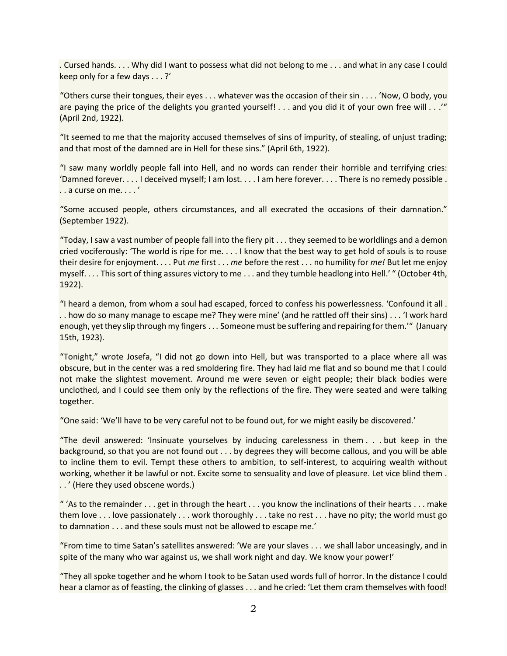. Cursed hands. . . . Why did I want to possess what did not belong to me . . . and what in any case I could keep only for a few days . . . ?'

"Others curse their tongues, their eyes . . . whatever was the occasion of their sin . . . . 'Now, O body, you are paying the price of the delights you granted yourself! . . . and you did it of your own free will . . .'" (April 2nd, 1922).

"It seemed to me that the majority accused themselves of sins of impurity, of stealing, of unjust trading; and that most of the damned are in Hell for these sins." (April 6th, 1922).

"I saw many worldly people fall into Hell, and no words can render their horrible and terrifying cries: 'Damned forever. . . . I deceived myself; I am lost. . . . I am here forever. . . . There is no remedy possible . . . a curse on me. . . . '

"Some accused people, others circumstances, and all execrated the occasions of their damnation." (September 1922).

"Today, I saw a vast number of people fall into the fiery pit . . . they seemed to be worldlings and a demon cried vociferously: 'The world is ripe for me. . . . I know that the best way to get hold of souls is to rouse their desire for enjoyment. . . . Put *me* first . . . *me* before the rest . . . no humility for *me!* But let me enjoy myself. . . . This sort of thing assures victory to me . . . and they tumble headlong into Hell.' " (October 4th, 1922).

"I heard a demon, from whom a soul had escaped, forced to confess his powerlessness. 'Confound it all . . . how do so many manage to escape me? They were mine' (and he rattled off their sins) . . . 'I work hard enough, yet they slip through my fingers . . . Someone must be suffering and repairing for them.'" (January 15th, 1923).

"Tonight," wrote Josefa, "I did not go down into Hell, but was transported to a place where all was obscure, but in the center was a red smoldering fire. They had laid me flat and so bound me that I could not make the slightest movement. Around me were seven or eight people; their black bodies were unclothed, and I could see them only by the reflections of the fire. They were seated and were talking together.

"One said: 'We'll have to be very careful not to be found out, for we might easily be discovered.'

"The devil answered: 'Insinuate yourselves by inducing carelessness in them . . . but keep in the background, so that you are not found out . . . by degrees they will become callous, and you will be able to incline them to evil. Tempt these others to ambition, to self-interest, to acquiring wealth without working, whether it be lawful or not. Excite some to sensuality and love of pleasure. Let vice blind them . . . ' (Here they used obscene words.)

" 'As to the remainder  $\dots$  get in through the heart  $\dots$  you know the inclinations of their hearts  $\dots$  make them love . . . love passionately . . . work thoroughly . . . take no rest . . . have no pity; the world must go to damnation . . . and these souls must not be allowed to escape me.'

"From time to time Satan's satellites answered: 'We are your slaves . . . we shall labor unceasingly, and in spite of the many who war against us, we shall work night and day. We know your power!'

"They all spoke together and he whom I took to be Satan used words full of horror. In the distance I could hear a clamor as of feasting, the clinking of glasses . . . and he cried: 'Let them cram themselves with food!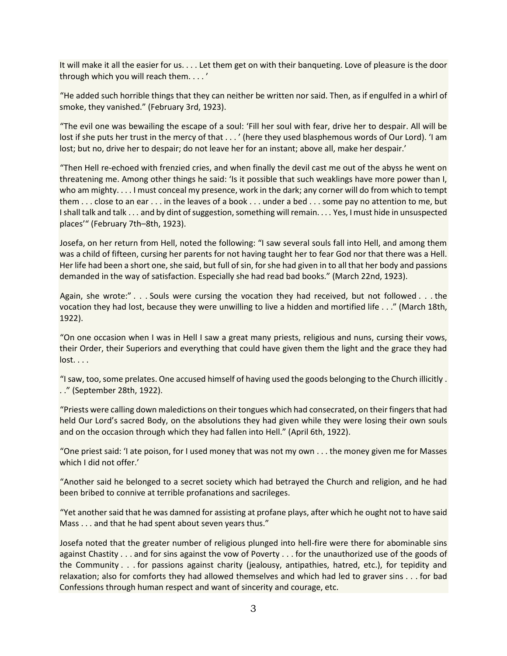It will make it all the easier for us. . . . Let them get on with their banqueting. Love of pleasure is the door through which you will reach them. . . . '

"He added such horrible things that they can neither be written nor said. Then, as if engulfed in a whirl of smoke, they vanished." (February 3rd, 1923).

"The evil one was bewailing the escape of a soul: 'Fill her soul with fear, drive her to despair. All will be lost if she puts her trust in the mercy of that . . . ' (here they used blasphemous words of Our Lord). 'I am lost; but no, drive her to despair; do not leave her for an instant; above all, make her despair.'

"Then Hell re-echoed with frenzied cries, and when finally the devil cast me out of the abyss he went on threatening me. Among other things he said: 'Is it possible that such weaklings have more power than I, who am mighty. . . . I must conceal my presence, work in the dark; any corner will do from which to tempt them . . . close to an ear . . . in the leaves of a book . . . under a bed . . . some pay no attention to me, but I shall talk and talk . . . and by dint of suggestion, something will remain. . . . Yes, I must hide in unsuspected places'" (February 7th–8th, 1923).

Josefa, on her return from Hell, noted the following: "I saw several souls fall into Hell, and among them was a child of fifteen, cursing her parents for not having taught her to fear God nor that there was a Hell. Her life had been a short one, she said, but full of sin, for she had given in to all that her body and passions demanded in the way of satisfaction. Especially she had read bad books." (March 22nd, 1923).

Again, she wrote:" . . . Souls were cursing the vocation they had received, but not followed . . . the vocation they had lost, because they were unwilling to live a hidden and mortified life . . ." (March 18th, 1922).

"On one occasion when I was in Hell I saw a great many priests, religious and nuns, cursing their vows, their Order, their Superiors and everything that could have given them the light and the grace they had lost. . . .

"I saw, too, some prelates. One accused himself of having used the goods belonging to the Church illicitly . . ." (September 28th, 1922).

"Priests were calling down maledictions on their tongues which had consecrated, on their fingers that had held Our Lord's sacred Body, on the absolutions they had given while they were losing their own souls and on the occasion through which they had fallen into Hell." (April 6th, 1922).

"One priest said: 'I ate poison, for I used money that was not my own . . . the money given me for Masses which I did not offer.'

"Another said he belonged to a secret society which had betrayed the Church and religion, and he had been bribed to connive at terrible profanations and sacrileges.

"Yet another said that he was damned for assisting at profane plays, after which he ought not to have said Mass . . . and that he had spent about seven years thus."

Josefa noted that the greater number of religious plunged into hell-fire were there for abominable sins against Chastity . . . and for sins against the vow of Poverty . . . for the unauthorized use of the goods of the Community . . . for passions against charity (jealousy, antipathies, hatred, etc.), for tepidity and relaxation; also for comforts they had allowed themselves and which had led to graver sins . . . for bad Confessions through human respect and want of sincerity and courage, etc.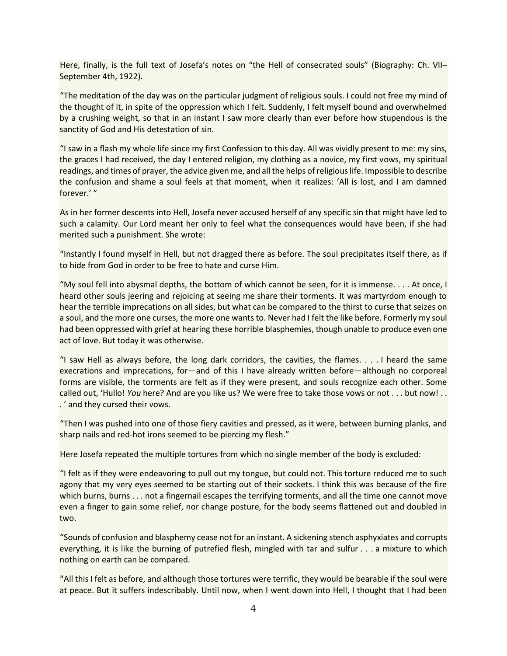Here, finally, is the full text of Josefa's notes on "the Hell of consecrated souls" (Biography: Ch. VII-September 4th, 1922).

"The meditation of the day was on the particular judgment of religious souls. I could not free my mind of the thought of it, in spite of the oppression which I felt. Suddenly, I felt myself bound and overwhelmed by a crushing weight, so that in an instant I saw more clearly than ever before how stupendous is the sanctity of God and His detestation of sin.

"I saw in a flash my whole life since my first Confession to this day. All was vividly present to me: my sins, the graces I had received, the day I entered religion, my clothing as a novice, my first vows, my spiritual readings, and times of prayer, the advice given me, and all the helps of religious life. Impossible to describe the confusion and shame a soul feels at that moment, when it realizes: 'All is lost, and I am damned forever.' "

As in her former descents into Hell, Josefa never accused herself of any specific sin that might have led to such a calamity. Our Lord meant her only to feel what the consequences would have been, if she had merited such a punishment. She wrote:

"Instantly I found myself in Hell, but not dragged there as before. The soul precipitates itself there, as if to hide from God in order to be free to hate and curse Him.

"My soul fell into abysmal depths, the bottom of which cannot be seen, for it is immense. . . . At once, I heard other souls jeering and rejoicing at seeing me share their torments. It was martyrdom enough to hear the terrible imprecations on all sides, but what can be compared to the thirst to curse that seizes on a soul, and the more one curses, the more one wants to. Never had I felt the like before. Formerly my soul had been oppressed with grief at hearing these horrible blasphemies, though unable to produce even one act of love. But today it was otherwise.

"I saw Hell as always before, the long dark corridors, the cavities, the flames. . . . I heard the same execrations and imprecations, for—and of this I have already written before—although no corporeal forms are visible, the torments are felt as if they were present, and souls recognize each other. Some called out, 'Hullo! *You* here? And are you like us? We were free to take those vows or not . . . but now! . . . ' and they cursed their vows.

"Then I was pushed into one of those fiery cavities and pressed, as it were, between burning planks, and sharp nails and red-hot irons seemed to be piercing my flesh."

Here Josefa repeated the multiple tortures from which no single member of the body is excluded:

"I felt as if they were endeavoring to pull out my tongue, but could not. This torture reduced me to such agony that my very eyes seemed to be starting out of their sockets. I think this was because of the fire which burns, burns . . . not a fingernail escapes the terrifying torments, and all the time one cannot move even a finger to gain some relief, nor change posture, for the body seems flattened out and doubled in two.

"Sounds of confusion and blasphemy cease not for an instant. A sickening stench asphyxiates and corrupts everything, it is like the burning of putrefied flesh, mingled with tar and sulfur . . . a mixture to which nothing on earth can be compared.

"All this I felt as before, and although those tortures were terrific, they would be bearable if the soul were at peace. But it suffers indescribably. Until now, when I went down into Hell, I thought that I had been